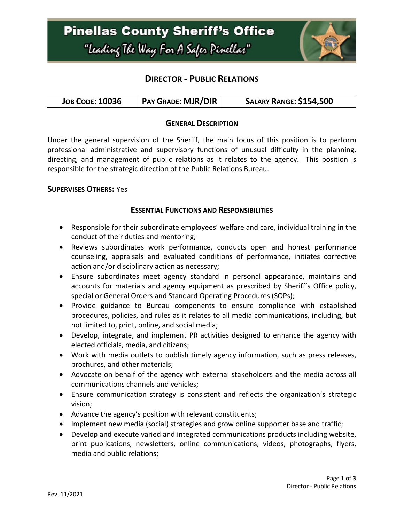### **Pinellas County Sheriff's Office** "Leading The Way For A Safer Pinellar"



### **DIRECTOR - PUBLIC RELATIONS**

| <b>JOB CODE: 10036</b> | PAY GRADE: MJR/DIR | <b>SALARY RANGE: \$154,500</b> |
|------------------------|--------------------|--------------------------------|
|------------------------|--------------------|--------------------------------|

### **GENERAL DESCRIPTION**

Under the general supervision of the Sheriff, the main focus of this position is to perform professional administrative and supervisory functions of unusual difficulty in the planning, directing, and management of public relations as it relates to the agency. This position is responsible for the strategic direction of the Public Relations Bureau.

#### **SUPERVISES OTHERS:** Yes

#### **ESSENTIAL FUNCTIONS AND RESPONSIBILITIES**

- Responsible for their subordinate employees' welfare and care, individual training in the conduct of their duties and mentoring;
- Reviews subordinates work performance, conducts open and honest performance counseling, appraisals and evaluated conditions of performance, initiates corrective action and/or disciplinary action as necessary;
- Ensure subordinates meet agency standard in personal appearance, maintains and accounts for materials and agency equipment as prescribed by Sheriff's Office policy, special or General Orders and Standard Operating Procedures (SOPs);
- Provide guidance to Bureau components to ensure compliance with established procedures, policies, and rules as it relates to all media communications, including, but not limited to, print, online, and social media;
- Develop, integrate, and implement PR activities designed to enhance the agency with elected officials, media, and citizens;
- Work with media outlets to publish timely agency information, such as press releases, brochures, and other materials;
- Advocate on behalf of the agency with external stakeholders and the media across all communications channels and vehicles;
- Ensure communication strategy is consistent and reflects the organization's strategic vision;
- Advance the agency's position with relevant constituents;
- Implement new media (social) strategies and grow online supporter base and traffic;
- Develop and execute varied and integrated communications products including website, print publications, newsletters, online communications, videos, photographs, flyers, media and public relations;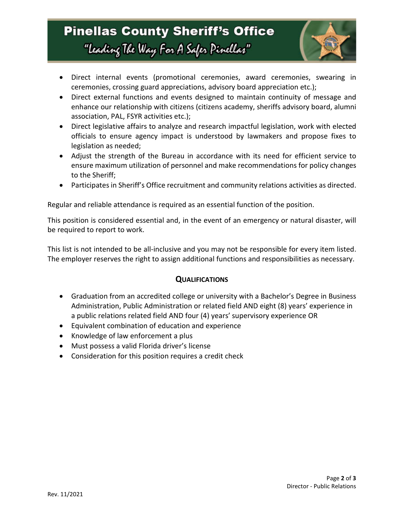## **Pinellas County Sheriff's Office** "Leading The Way For A Safer Pinellar"



- Direct internal events (promotional ceremonies, award ceremonies, swearing in ceremonies, crossing guard appreciations, advisory board appreciation etc.);
- Direct external functions and events designed to maintain continuity of message and enhance our relationship with citizens (citizens academy, sheriffs advisory board, alumni association, PAL, FSYR activities etc.);
- Direct legislative affairs to analyze and research impactful legislation, work with elected officials to ensure agency impact is understood by lawmakers and propose fixes to legislation as needed;
- Adjust the strength of the Bureau in accordance with its need for efficient service to ensure maximum utilization of personnel and make recommendations for policy changes to the Sheriff;
- Participates in Sheriff's Office recruitment and community relations activities as directed.

Regular and reliable attendance is required as an essential function of the position.

This position is considered essential and, in the event of an emergency or natural disaster, will be required to report to work.

This list is not intended to be all-inclusive and you may not be responsible for every item listed. The employer reserves the right to assign additional functions and responsibilities as necessary.

### **QUALIFICATIONS**

- Graduation from an accredited college or university with a Bachelor's Degree in Business Administration, Public Administration or related field AND eight (8) years' experience in a public relations related field AND four (4) years' supervisory experience OR
- Equivalent combination of education and experience
- Knowledge of law enforcement a plus
- Must possess a valid Florida driver's license
- Consideration for this position requires a credit check